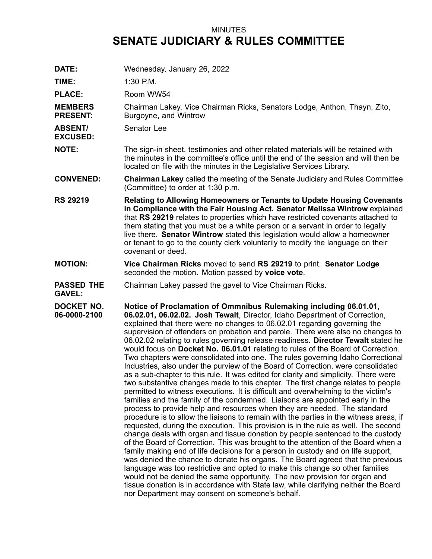## MINUTES **SENATE JUDICIARY & RULES COMMITTEE**

**DATE:** Wednesday, January 26, 2022

**TIME:** 1:30 P.M.

PLACE: Room WW54

**MEMBERS PRESENT:** Chairman Lakey, Vice Chairman Ricks, Senators Lodge, Anthon, Thayn, Zito, Burgoyne, and Wintrow

**ABSENT/** Senator Lee

**EXCUSED:**

**NOTE:** The sign-in sheet, testimonies and other related materials will be retained with the minutes in the committee's office until the end of the session and will then be located on file with the minutes in the Legislative Services Library.

**CONVENED: Chairman Lakey** called the meeting of the Senate Judiciary and Rules Committee (Committee) to order at 1:30 p.m.

- **RS 29219 Relating to Allowing Homeowners or Tenants to Update Housing Covenants in Compliance with the Fair Housing Act. Senator Melissa Wintrow** explained that **RS 29219** relates to properties which have restricted covenants attached to them stating that you must be <sup>a</sup> white person or <sup>a</sup> servant in order to legally live there. **Senator Wintrow** stated this legislation would allow <sup>a</sup> homeowner or tenant to go to the county clerk voluntarily to modify the language on their covenant or deed.
- **MOTION: Vice Chairman Ricks** moved to send **RS 29219** to print. **Senator Lodge** seconded the motion. Motion passed by **voice vote**.
- **PASSED THE** Chairman Lakey passed the gavel to Vice Chairman Ricks.

**GAVEL:**

**DOCKET NO. 06-0000-2100 Notice of Proclamation of Ommnibus Rulemaking including 06.01.01, 06.02.01, 06.02.02. Josh Tewalt**, Director, Idaho Department of Correction, explained that there were no changes to 06.02.01 regarding governing the supervision of offenders on probation and parole. There were also no changes to 06.02.02 relating to rules governing release readiness. **Director Tewalt** stated he would focus on **Docket No. 06.01.01** relating to rules of the Board of Correction. Two chapters were consolidated into one. The rules governing Idaho Correctional Industries, also under the purview of the Board of Correction, were consolidated as <sup>a</sup> sub-chapter to this rule. It was edited for clarity and simplicity. There were two substantive changes made to this chapter. The first change relates to people permitted to witness executions. It is difficult and overwhelming to the victim's families and the family of the condemned. Liaisons are appointed early in the process to provide help and resources when they are needed. The standard procedure is to allow the liaisons to remain with the parties in the witness areas, if requested, during the execution. This provision is in the rule as well. The second change deals with organ and tissue donation by people sentenced to the custody of the Board of Correction. This was brought to the attention of the Board when <sup>a</sup> family making end of life decisions for <sup>a</sup> person in custody and on life support, was denied the chance to donate his organs. The Board agreed that the previous language was too restrictive and opted to make this change so other families would not be denied the same opportunity. The new provision for organ and tissue donation is in accordance with State law, while clarifying neither the Board nor Department may consent on someone's behalf.